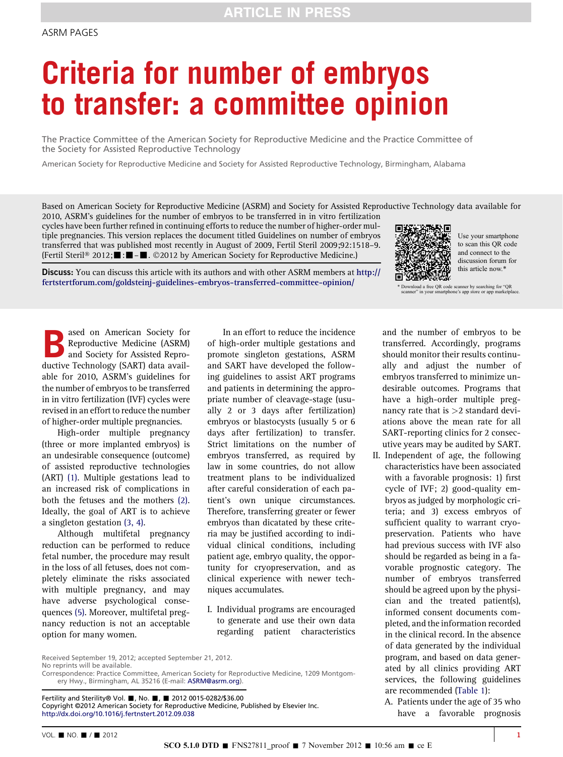# Criteria for number of embryos to transfer: a committee opinion

The Practice Committee of the American Society for Reproductive Medicine and the Practice Committee of the Society for Assisted Reproductive Technology

American Society for Reproductive Medicine and Society for Assisted Reproductive Technology, Birmingham, Alabama

Based on American Society for Reproductive Medicine (ASRM) and Society for Assisted Reproductive Technology data available for 2010, ASRM's guidelines for the number of embryos to be transferred in in vitro fertilization

cycles have been further refined in continuing efforts to reduce the number of higher-order multiple pregnancies. This version replaces the document titled Guidelines on number of embryos transferred that was published most recently in August of 2009, Fertil Steril 2009;92:1518–9. (Fertil Steril<sup>®</sup> 2012;  $\blacksquare$ :  $\blacksquare$  . ©2012 by American Society for Reproductive Medicine.)

Discuss: You can discuss this article with its authors and with other ASRM members at [http://](http://fertstertforum.com/goldsteinj-guidelines-embryos-transferred-committee-opinion/) [fertstertforum.com/goldsteinj-guidelines-embryos-transferred-committee-opinion/](http://fertstertforum.com/goldsteinj-guidelines-embryos-transferred-committee-opinion/)



Use your smartphone to scan this QR code and connect to the discussion forum for this article now \*

\* Download a free QR code scanner by searching for "QR scanner" in your smartphone's app store or app marketplace.

ased on American Society for<br>Reproductive Medicine (ASRM)<br>and Society for Assisted Reproductive Technology (SAPT) data avail Reproductive Medicine (ASRM) and Society for Assisted Reproductive Technology (SART) data available for 2010, ASRM's guidelines for the number of embryos to be transferred in in vitro fertilization (IVF) cycles were revised in an effort to reduce the number of higher-order multiple pregnancies.

High-order multiple pregnancy (three or more implanted embryos) is an undesirable consequence (outcome) of assisted reproductive technologies (ART) [\(1\)](#page-1-0). Multiple gestations lead to an increased risk of complications in both the fetuses and the mothers [\(2\)](#page-2-0). Ideally, the goal of ART is to achieve a singleton gestation [\(3, 4\).](#page-2-0)

Although multifetal pregnancy reduction can be performed to reduce fetal number, the procedure may result in the loss of all fetuses, does not completely eliminate the risks associated with multiple pregnancy, and may have adverse psychological consequences [\(5\)](#page-2-0). Moreover, multifetal pregnancy reduction is not an acceptable option for many women.

In an effort to reduce the incidence of high-order multiple gestations and promote singleton gestations, ASRM and SART have developed the following guidelines to assist ART programs and patients in determining the appropriate number of cleavage-stage (usually 2 or 3 days after fertilization) embryos or blastocysts (usually 5 or 6 days after fertilization) to transfer. Strict limitations on the number of embryos transferred, as required by law in some countries, do not allow treatment plans to be individualized after careful consideration of each patient's own unique circumstances. Therefore, transferring greater or fewer embryos than dicatated by these criteria may be justified according to individual clinical conditions, including patient age, embryo quality, the opportunity for cryopreservation, and as clinical experience with newer techniques accumulates.

I. Individual programs are encouraged to generate and use their own data regarding patient characteristics

Received September 19, 2012; accepted September 21, 2012. No reprints will be available.

Correspondence: Practice Committee, American Society for Reproductive Medicine, 1209 Montgom-ery Hwy., Birmingham, AL 35216 (E-mail: [ASRM@asrm.org](mailto:ASRM@asrm.org)).

Fertility and Sterility® Vol. |, No. |, 2012 0015-0282/\$36.00 Copyright ©2012 American Society for Reproductive Medicine, Published by Elsevier Inc. <http://dx.doi.org/10.1016/j.fertnstert.2012.09.038>

and the number of embryos to be transferred. Accordingly, programs should monitor their results continually and adjust the number of embryos transferred to minimize undesirable outcomes. Programs that have a high-order multiple pregnancy rate that is  $>$ 2 standard deviations above the mean rate for all SART-reporting clinics for 2 consecutive years may be audited by SART.

- II. Independent of age, the following characteristics have been associated with a favorable prognosis: 1) first cycle of IVF; 2) good-quality embryos as judged by morphologic criteria; and 3) excess embryos of sufficient quality to warrant cryopreservation. Patients who have had previous success with IVF also should be regarded as being in a favorable prognostic category. The number of embryos transferred should be agreed upon by the physician and the treated patient(s), informed consent documents completed, and the information recorded in the clinical record. In the absence of data generated by the individual program, and based on data generated by all clinics providing ART services, the following guidelines are recommended [\(Table 1\)](#page-1-0):
	- A. Patients under the age of 35 who have a favorable prognosis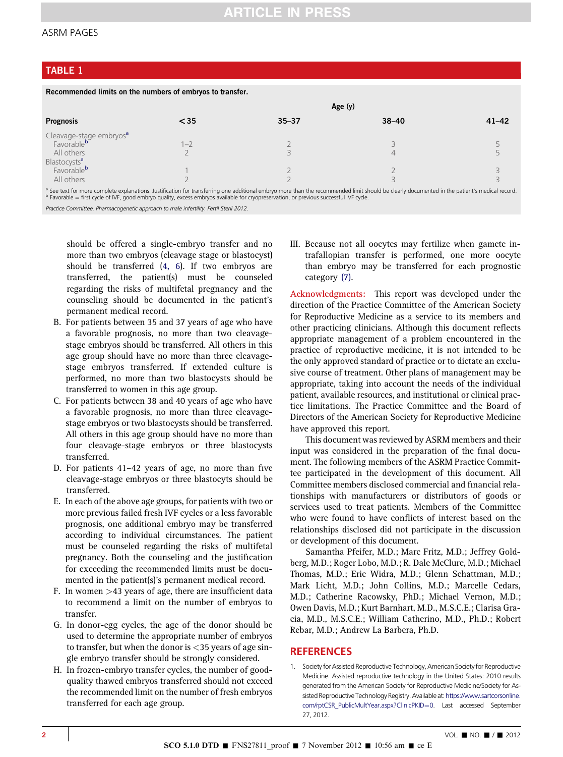## **ARTICLE IN PRESS**

### <span id="page-1-0"></span>TABLE 1

Recommended limits on the numbers of embryos to transfer.

| Prognosis                                                                   | Age (y) |           |           |           |
|-----------------------------------------------------------------------------|---------|-----------|-----------|-----------|
|                                                                             | $35$    | $35 - 37$ | $38 - 40$ | $41 - 42$ |
| Cleavage-stage embryos <sup>a</sup><br>Favorable <sup>b</sup><br>All others | $1 - 2$ |           |           |           |
| Blastocysts <sup>a</sup><br>Favorableb<br>All others                        |         |           |           |           |

<sup>a</sup> See text for more complete explanations. Justification for transferring one additional embryo more than the recommended limit should be clearly documented in the patient's medical record.<br><sup>b</sup> Favorable = first cycle of

Practice Committee. Pharmacogenetic approach to male infertility. Fertil Steril 2012.

should be offered a single-embryo transfer and no more than two embryos (cleavage stage or blastocyst) should be transferred [\(4, 6](#page-2-0)). If two embryos are transferred, the patient(s) must be counseled regarding the risks of multifetal pregnancy and the counseling should be documented in the patient's permanent medical record.

- B. For patients between 35 and 37 years of age who have a favorable prognosis, no more than two cleavagestage embryos should be transferred. All others in this age group should have no more than three cleavagestage embryos transferred. If extended culture is performed, no more than two blastocysts should be transferred to women in this age group.
- C. For patients between 38 and 40 years of age who have a favorable prognosis, no more than three cleavagestage embryos or two blastocysts should be transferred. All others in this age group should have no more than four cleavage-stage embryos or three blastocysts transferred.
- D. For patients 41–42 years of age, no more than five cleavage-stage embryos or three blastocyts should be transferred.
- E. In each of the above age groups, for patients with two or more previous failed fresh IVF cycles or a less favorable prognosis, one additional embryo may be transferred according to individual circumstances. The patient must be counseled regarding the risks of multifetal pregnancy. Both the counseling and the justification for exceeding the recommended limits must be documented in the patient(s)'s permanent medical record.
- F. In women >43 years of age, there are insufficient data to recommend a limit on the number of embryos to transfer.
- G. In donor-egg cycles, the age of the donor should be used to determine the appropriate number of embryos to transfer, but when the donor is <35 years of age single embryo transfer should be strongly considered.
- H. In frozen-embryo transfer cycles, the number of goodquality thawed embryos transferred should not exceed the recommended limit on the number of fresh embryos transferred for each age group.

III. Because not all oocytes may fertilize when gamete intrafallopian transfer is performed, one more oocyte than embryo may be transferred for each prognostic category [\(7\)](#page-2-0).

Acknowledgments: This report was developed under the direction of the Practice Committee of the American Society for Reproductive Medicine as a service to its members and other practicing clinicians. Although this document reflects appropriate management of a problem encountered in the practice of reproductive medicine, it is not intended to be the only approved standard of practice or to dictate an exclusive course of treatment. Other plans of management may be appropriate, taking into account the needs of the individual patient, available resources, and institutional or clinical practice limitations. The Practice Committee and the Board of Directors of the American Society for Reproductive Medicine have approved this report.

This document was reviewed by ASRM members and their input was considered in the preparation of the final document. The following members of the ASRM Practice Committee participated in the development of this document. All Committee members disclosed commercial and financial relationships with manufacturers or distributors of goods or services used to treat patients. Members of the Committee who were found to have conflicts of interest based on the relationships disclosed did not participate in the discussion or development of this document.

Samantha Pfeifer, M.D.; Marc Fritz, M.D.; Jeffrey Goldberg, M.D.; Roger Lobo, M.D.; R. Dale McClure, M.D.; Michael Thomas, M.D.; Eric Widra, M.D.; Glenn Schattman, M.D.; Mark Licht, M.D.; John Collins, M.D.; Marcelle Cedars, M.D.; Catherine Racowsky, PhD.; Michael Vernon, M.D.; Owen Davis, M.D.; Kurt Barnhart, M.D., M.S.C.E.; Clarisa Gracia, M.D., M.S.C.E.; William Catherino, M.D., Ph.D.; Robert Rebar, M.D.; Andrew La Barbera, Ph.D.

#### **REFERENCES**

1. Society for Assisted Reproductive Technology, American Society for Reproductive Medicine. Assisted reproductive technology in the United States: 2010 results generated from the American Society for Reproductive Medicine/Society for Assisted Reproductive Technology Registry. Available at:[https://www.sartcorsonline.](https://www.sartcorsonline.com/rptCSR_PublicMultYear.aspx%3fClinicPKID%3d0) [com/rptCSR\\_PublicMultYear.aspx?ClinicPKID](https://www.sartcorsonline.com/rptCSR_PublicMultYear.aspx%3fClinicPKID%3d0)=[0](https://www.sartcorsonline.com/rptCSR_PublicMultYear.aspx%3fClinicPKID%3d0). Last accessed September 27, 2012.